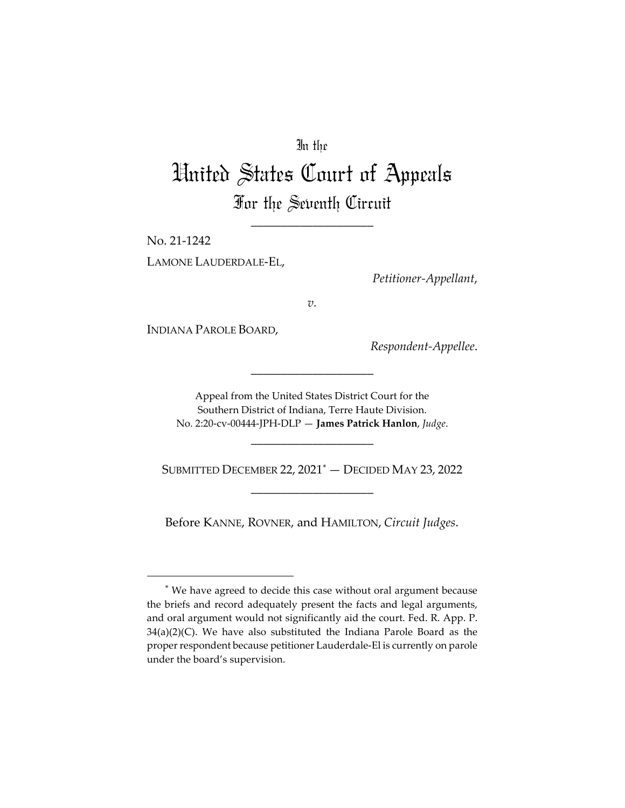## In the

# United States Court of Appeals For the Seventh Circuit

\_\_\_\_\_\_\_\_\_\_\_\_\_\_\_\_\_\_\_\_

No. 21-1242

LAMONE LAUDERDALE-EL,

*Petitioner-Appellant*,

*v.*

INDIANA PAROLE BOARD,

*Respondent-Appellee*.

Appeal from the United States District Court for the Southern District of Indiana, Terre Haute Division. No. 2:20-cv-00444-JPH-DLP — **James Patrick Hanlon**, *Judge*.

\_\_\_\_\_\_\_\_\_\_\_\_\_\_\_\_\_\_\_\_

\_\_\_\_\_\_\_\_\_\_\_\_\_\_\_\_\_\_\_\_

SUBMITTED DECEMBER 22, 2021[\\*](#page-0-0) — DECIDED MAY 23, 2022 \_\_\_\_\_\_\_\_\_\_\_\_\_\_\_\_\_\_\_\_

Before KANNE, ROVNER, and HAMILTON, *Circuit Judges*.

<span id="page-0-0"></span><sup>\*</sup> We have agreed to decide this case without oral argument because the briefs and record adequately present the facts and legal arguments, and oral argument would not significantly aid the court. Fed. R. App. P. 34(a)(2)(C). We have also substituted the Indiana Parole Board as the proper respondent because petitioner Lauderdale-El is currently on parole under the board's supervision.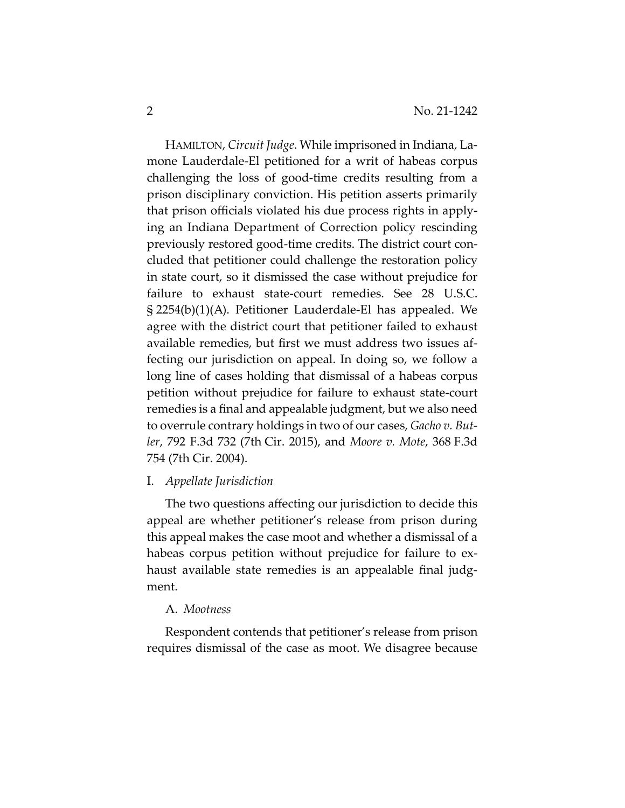HAMILTON, *Circuit Judge*. While imprisoned in Indiana, Lamone Lauderdale-El petitioned for a writ of habeas corpus challenging the loss of good-time credits resulting from a prison disciplinary conviction. His petition asserts primarily that prison officials violated his due process rights in applying an Indiana Department of Correction policy rescinding previously restored good-time credits. The district court concluded that petitioner could challenge the restoration policy in state court, so it dismissed the case without prejudice for failure to exhaust state-court remedies. See 28 U.S.C. § 2254(b)(1)(A). Petitioner Lauderdale-El has appealed. We agree with the district court that petitioner failed to exhaust available remedies, but first we must address two issues affecting our jurisdiction on appeal. In doing so, we follow a long line of cases holding that dismissal of a habeas corpus petition without prejudice for failure to exhaust state-court remedies is a final and appealable judgment, but we also need to overrule contrary holdings in two of our cases, *Gacho v. Butler*, 792 F.3d 732 (7th Cir. 2015), and *Moore v. Mote*, 368 F.3d 754 (7th Cir. 2004).

#### I. *Appellate Jurisdiction*

The two questions affecting our jurisdiction to decide this appeal are whether petitioner's release from prison during this appeal makes the case moot and whether a dismissal of a habeas corpus petition without prejudice for failure to exhaust available state remedies is an appealable final judgment.

### A. *Mootness*

Respondent contends that petitioner's release from prison requires dismissal of the case as moot. We disagree because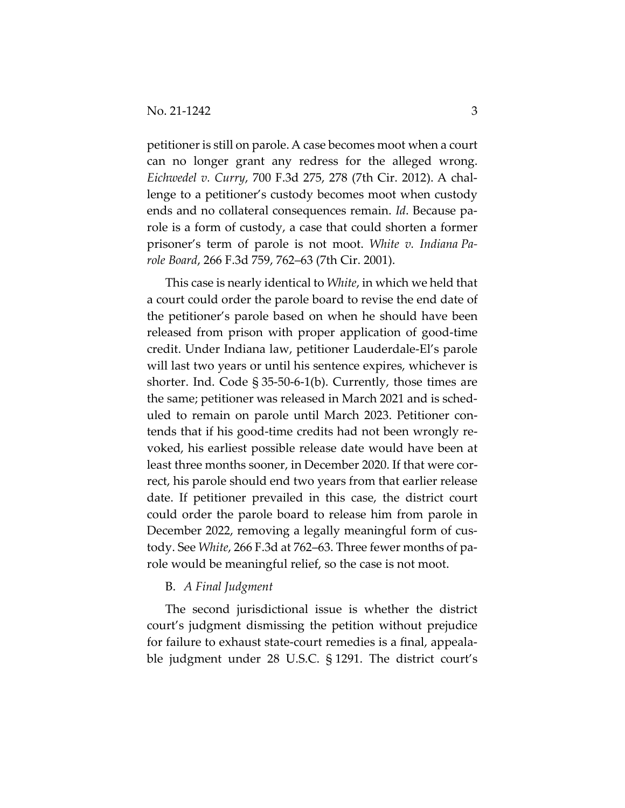petitioner is still on parole. A case becomes moot when a court can no longer grant any redress for the alleged wrong. *Eichwedel v. Curry*, 700 F.3d 275, 278 (7th Cir. 2012). A challenge to a petitioner's custody becomes moot when custody ends and no collateral consequences remain. *Id*. Because parole is a form of custody, a case that could shorten a former prisoner's term of parole is not moot. *White v. Indiana Parole Board*, 266 F.3d 759, 762–63 (7th Cir. 2001).

This case is nearly identical to *White*, in which we held that a court could order the parole board to revise the end date of the petitioner's parole based on when he should have been released from prison with proper application of good-time credit. Under Indiana law, petitioner Lauderdale-El's parole will last two years or until his sentence expires, whichever is shorter. Ind. Code § 35-50-6-1(b). Currently, those times are the same; petitioner was released in March 2021 and is scheduled to remain on parole until March 2023. Petitioner contends that if his good-time credits had not been wrongly revoked, his earliest possible release date would have been at least three months sooner, in December 2020. If that were correct, his parole should end two years from that earlier release date. If petitioner prevailed in this case, the district court could order the parole board to release him from parole in December 2022, removing a legally meaningful form of custody. See *White*, 266 F.3d at 762–63. Three fewer months of parole would be meaningful relief, so the case is not moot.

#### B. *A Final Judgment*

The second jurisdictional issue is whether the district court's judgment dismissing the petition without prejudice for failure to exhaust state-court remedies is a final, appealable judgment under 28 U.S.C. § 1291. The district court's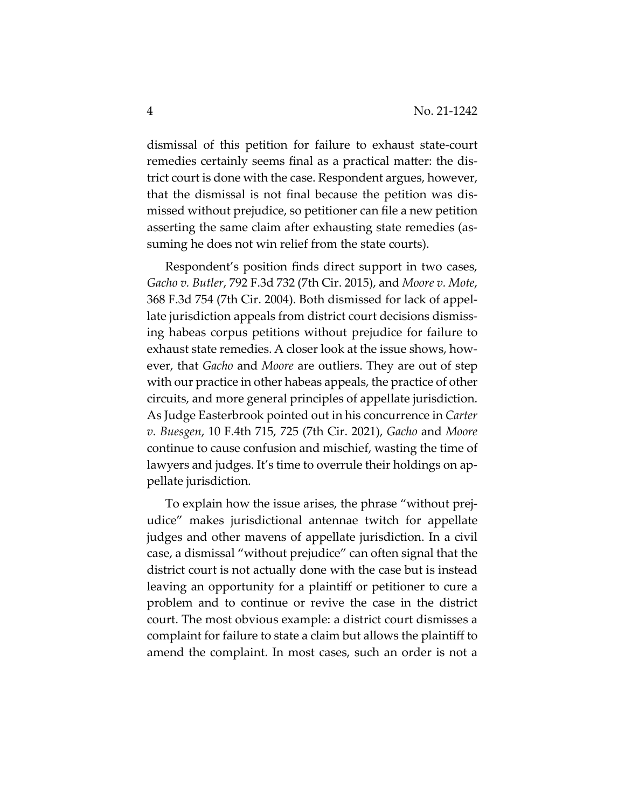dismissal of this petition for failure to exhaust state-court remedies certainly seems final as a practical matter: the district court is done with the case. Respondent argues, however, that the dismissal is not final because the petition was dismissed without prejudice, so petitioner can file a new petition asserting the same claim after exhausting state remedies (assuming he does not win relief from the state courts).

Respondent's position finds direct support in two cases, *Gacho v. Butler*, 792 F.3d 732 (7th Cir. 2015), and *Moore v. Mote*, 368 F.3d 754 (7th Cir. 2004). Both dismissed for lack of appellate jurisdiction appeals from district court decisions dismissing habeas corpus petitions without prejudice for failure to exhaust state remedies. A closer look at the issue shows, however, that *Gacho* and *Moore* are outliers. They are out of step with our practice in other habeas appeals, the practice of other circuits, and more general principles of appellate jurisdiction. As Judge Easterbrook pointed out in his concurrence in *Carter v. Buesgen*, 10 F.4th 715, 725 (7th Cir. 2021), *Gacho* and *Moore* continue to cause confusion and mischief, wasting the time of lawyers and judges. It's time to overrule their holdings on appellate jurisdiction.

To explain how the issue arises, the phrase "without prejudice" makes jurisdictional antennae twitch for appellate judges and other mavens of appellate jurisdiction. In a civil case, a dismissal "without prejudice" can often signal that the district court is not actually done with the case but is instead leaving an opportunity for a plaintiff or petitioner to cure a problem and to continue or revive the case in the district court. The most obvious example: a district court dismisses a complaint for failure to state a claim but allows the plaintiff to amend the complaint. In most cases, such an order is not a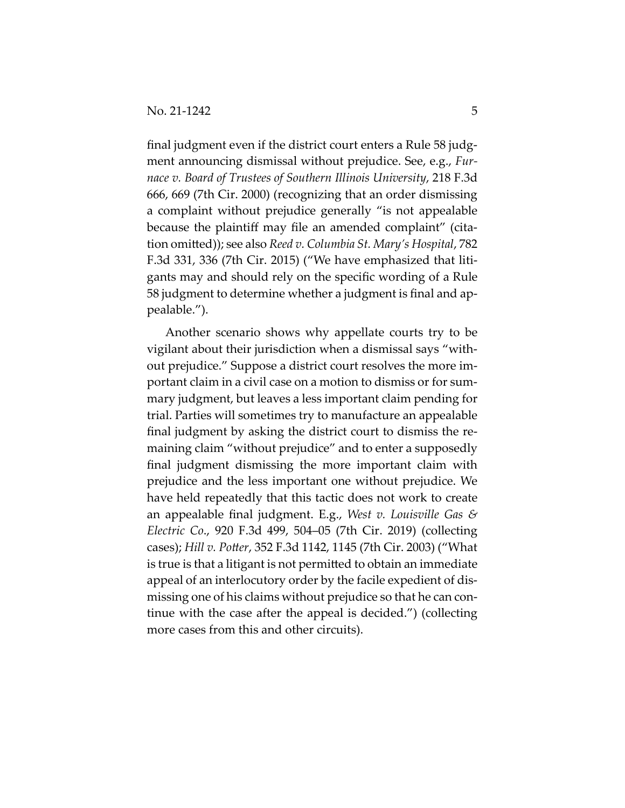final judgment even if the district court enters a Rule 58 judgment announcing dismissal without prejudice. See, e.g., *Furnace v. Board of Trustees of Southern Illinois University*, 218 F.3d 666, 669 (7th Cir. 2000) (recognizing that an order dismissing a complaint without prejudice generally "is not appealable because the plaintiff may file an amended complaint" (citation omitted)); see also *Reed v. Columbia St. Mary's Hospital*, 782 F.3d 331, 336 (7th Cir. 2015) ("We have emphasized that litigants may and should rely on the specific wording of a Rule 58 judgment to determine whether a judgment is final and appealable.").

Another scenario shows why appellate courts try to be vigilant about their jurisdiction when a dismissal says "without prejudice." Suppose a district court resolves the more important claim in a civil case on a motion to dismiss or for summary judgment, but leaves a less important claim pending for trial. Parties will sometimes try to manufacture an appealable final judgment by asking the district court to dismiss the remaining claim "without prejudice" and to enter a supposedly final judgment dismissing the more important claim with prejudice and the less important one without prejudice. We have held repeatedly that this tactic does not work to create an appealable final judgment. E.g., *West v. Louisville Gas & Electric Co*., 920 F.3d 499, 504–05 (7th Cir. 2019) (collecting cases); *Hill v. Potter*, 352 F.3d 1142, 1145 (7th Cir. 2003) ("What is true is that a litigant is not permitted to obtain an immediate appeal of an interlocutory order by the facile expedient of dismissing one of his claims without prejudice so that he can continue with the case after the appeal is decided.") (collecting more cases from this and other circuits).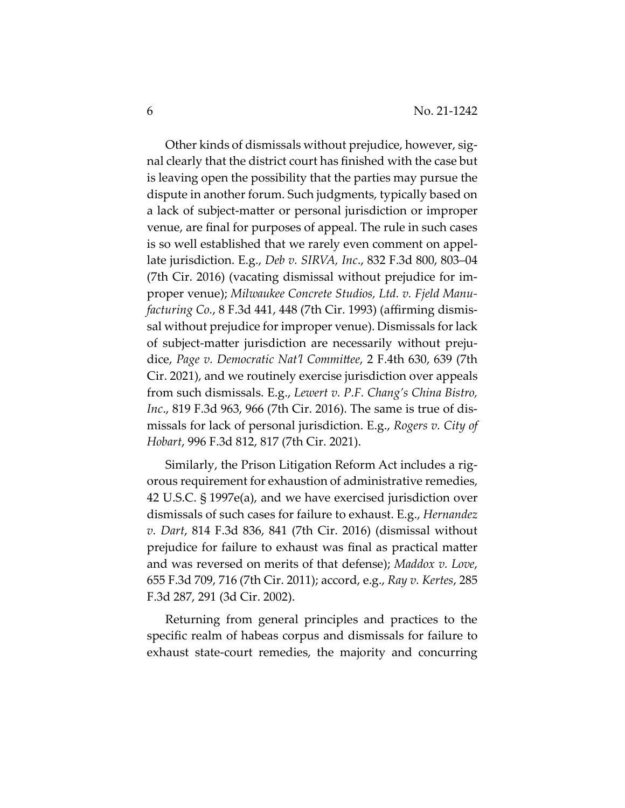Other kinds of dismissals without prejudice, however, signal clearly that the district court has finished with the case but is leaving open the possibility that the parties may pursue the dispute in another forum. Such judgments, typically based on a lack of subject-matter or personal jurisdiction or improper venue, are final for purposes of appeal. The rule in such cases is so well established that we rarely even comment on appellate jurisdiction. E.g., *Deb v. SIRVA, Inc*., 832 F.3d 800, 803–04 (7th Cir. 2016) (vacating dismissal without prejudice for improper venue); *Milwaukee Concrete Studios, Ltd. v. Fjeld Manufacturing Co.*, 8 F.3d 441, 448 (7th Cir. 1993) (affirming dismissal without prejudice for improper venue). Dismissals for lack of subject-matter jurisdiction are necessarily without prejudice, *Page v. Democratic Nat'l Committee*, 2 F.4th 630, 639 (7th Cir. 2021), and we routinely exercise jurisdiction over appeals from such dismissals. E.g., *Lewert v. P.F. Chang's China Bistro, Inc*., 819 F.3d 963, 966 (7th Cir. 2016). The same is true of dismissals for lack of personal jurisdiction. E.g., *Rogers v. City of Hobart*, 996 F.3d 812, 817 (7th Cir. 2021).

Similarly, the Prison Litigation Reform Act includes a rigorous requirement for exhaustion of administrative remedies, 42 U.S.C. § 1997e(a), and we have exercised jurisdiction over dismissals of such cases for failure to exhaust. E.g., *Hernandez v. Dart*, 814 F.3d 836, 841 (7th Cir. 2016) (dismissal without prejudice for failure to exhaust was final as practical matter and was reversed on merits of that defense); *Maddox v. Love*, 655 F.3d 709, 716 (7th Cir. 2011); accord, e.g., *Ray v. Kertes*, 285 F.3d 287, 291 (3d Cir. 2002).

Returning from general principles and practices to the specific realm of habeas corpus and dismissals for failure to exhaust state-court remedies, the majority and concurring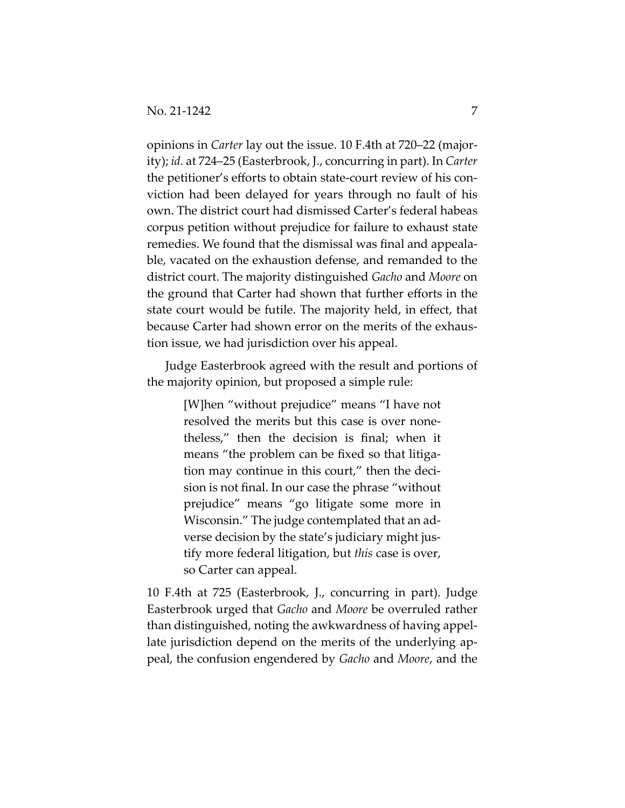opinions in *Carter* lay out the issue. 10 F.4th at 720–22 (majority); *id.* at 724–25 (Easterbrook, J., concurring in part). In *Carter* the petitioner's efforts to obtain state-court review of his conviction had been delayed for years through no fault of his own. The district court had dismissed Carter's federal habeas corpus petition without prejudice for failure to exhaust state remedies. We found that the dismissal was final and appealable, vacated on the exhaustion defense, and remanded to the district court. The majority distinguished *Gacho* and *Moore* on the ground that Carter had shown that further efforts in the state court would be futile. The majority held, in effect, that because Carter had shown error on the merits of the exhaustion issue, we had jurisdiction over his appeal.

Judge Easterbrook agreed with the result and portions of the majority opinion, but proposed a simple rule:

> [W]hen "without prejudice" means "I have not resolved the merits but this case is over nonetheless," then the decision is final; when it means "the problem can be fixed so that litigation may continue in this court," then the decision is not final. In our case the phrase "without prejudice" means "go litigate some more in Wisconsin." The judge contemplated that an adverse decision by the state's judiciary might justify more federal litigation, but *this* case is over, so Carter can appeal.

10 F.4th at 725 (Easterbrook, J., concurring in part). Judge Easterbrook urged that *Gacho* and *Moore* be overruled rather than distinguished, noting the awkwardness of having appellate jurisdiction depend on the merits of the underlying appeal, the confusion engendered by *Gacho* and *Moore*, and the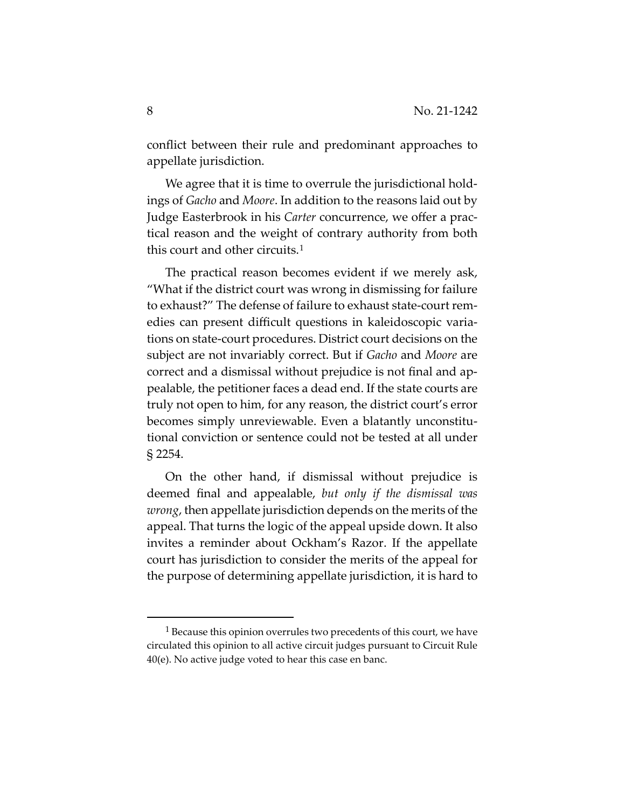conflict between their rule and predominant approaches to appellate jurisdiction.

We agree that it is time to overrule the jurisdictional holdings of *Gacho* and *Moore*. In addition to the reasons laid out by Judge Easterbrook in his *Carter* concurrence, we offer a practical reason and the weight of contrary authority from both this court and other circuits.[1](#page-7-0)

The practical reason becomes evident if we merely ask, "What if the district court was wrong in dismissing for failure to exhaust?" The defense of failure to exhaust state-court remedies can present difficult questions in kaleidoscopic variations on state-court procedures. District court decisions on the subject are not invariably correct. But if *Gacho* and *Moore* are correct and a dismissal without prejudice is not final and appealable, the petitioner faces a dead end. If the state courts are truly not open to him, for any reason, the district court's error becomes simply unreviewable. Even a blatantly unconstitutional conviction or sentence could not be tested at all under § 2254.

On the other hand, if dismissal without prejudice is deemed final and appealable, *but only if the dismissal was wrong*, then appellate jurisdiction depends on the merits of the appeal. That turns the logic of the appeal upside down. It also invites a reminder about Ockham's Razor. If the appellate court has jurisdiction to consider the merits of the appeal for the purpose of determining appellate jurisdiction, it is hard to

<span id="page-7-0"></span><sup>&</sup>lt;sup>1</sup> Because this opinion overrules two precedents of this court, we have circulated this opinion to all active circuit judges pursuant to Circuit Rule 40(e). No active judge voted to hear this case en banc.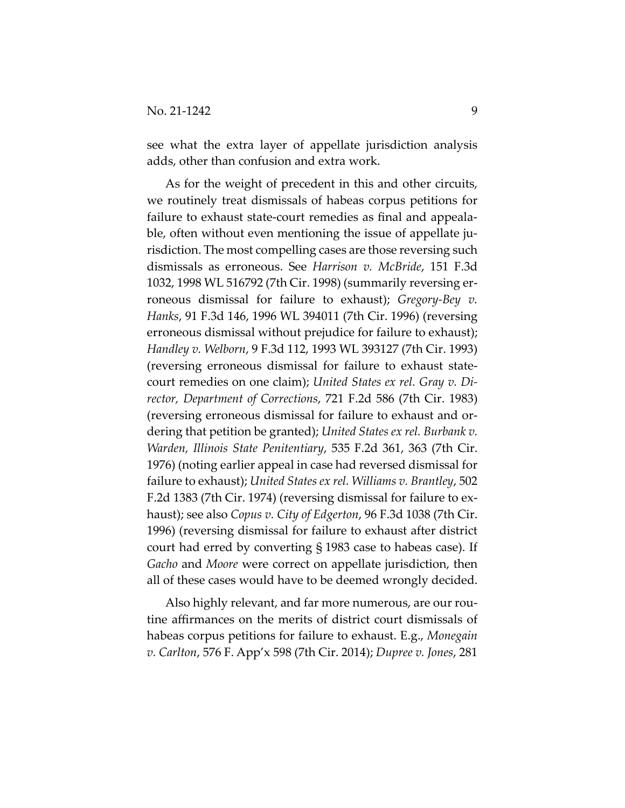see what the extra layer of appellate jurisdiction analysis adds, other than confusion and extra work.

As for the weight of precedent in this and other circuits, we routinely treat dismissals of habeas corpus petitions for failure to exhaust state-court remedies as final and appealable, often without even mentioning the issue of appellate jurisdiction. The most compelling cases are those reversing such dismissals as erroneous. See *Harrison v. McBride*, 151 F.3d 1032, 1998 WL 516792 (7th Cir. 1998) (summarily reversing erroneous dismissal for failure to exhaust); *Gregory-Bey v. Hanks*, 91 F.3d 146, 1996 WL 394011 (7th Cir. 1996) (reversing erroneous dismissal without prejudice for failure to exhaust); *Handley v. Welborn*, 9 F.3d 112, 1993 WL 393127 (7th Cir. 1993) (reversing erroneous dismissal for failure to exhaust statecourt remedies on one claim); *United States ex rel. Gray v. Director, Department of Corrections*, 721 F.2d 586 (7th Cir. 1983) (reversing erroneous dismissal for failure to exhaust and ordering that petition be granted); *United States ex rel. Burbank v. Warden, Illinois State Penitentiary*, 535 F.2d 361, 363 (7th Cir. 1976) (noting earlier appeal in case had reversed dismissal for failure to exhaust); *United States ex rel. Williams v. Brantley*, 502 F.2d 1383 (7th Cir. 1974) (reversing dismissal for failure to exhaust); see also *Copus v. City of Edgerton*, 96 F.3d 1038 (7th Cir. 1996) (reversing dismissal for failure to exhaust after district court had erred by converting § 1983 case to habeas case). If *Gacho* and *Moore* were correct on appellate jurisdiction, then all of these cases would have to be deemed wrongly decided.

Also highly relevant, and far more numerous, are our routine affirmances on the merits of district court dismissals of habeas corpus petitions for failure to exhaust. E.g., *Monegain v. Carlton*, 576 F. App'x 598 (7th Cir. 2014); *Dupree v. Jones*, 281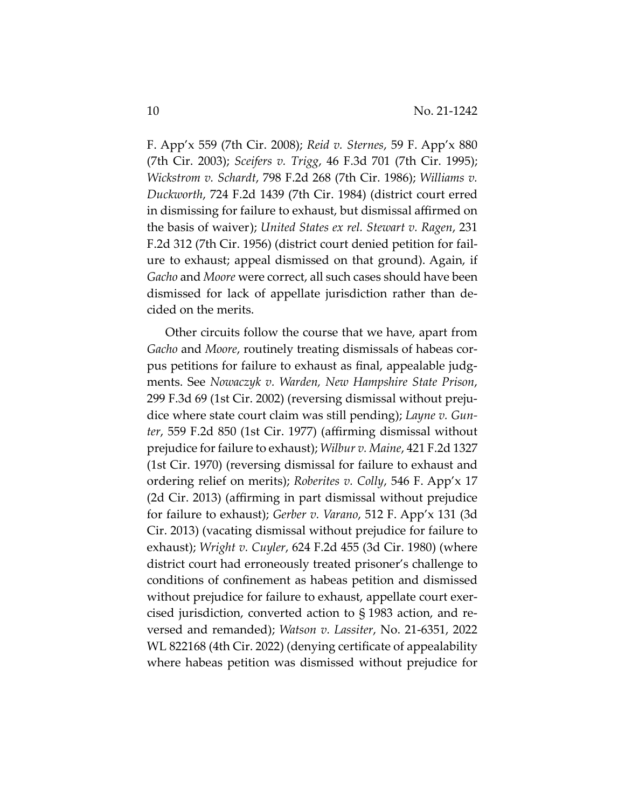F. App'x 559 (7th Cir. 2008); *Reid v. Sternes*, 59 F. App'x 880 (7th Cir. 2003); *Sceifers v. Trigg*, 46 F.3d 701 (7th Cir. 1995); *Wickstrom v. Schardt*, 798 F.2d 268 (7th Cir. 1986); *Williams v. Duckworth*, 724 F.2d 1439 (7th Cir. 1984) (district court erred in dismissing for failure to exhaust, but dismissal affirmed on the basis of waiver); *United States ex rel. Stewart v. Ragen*, 231 F.2d 312 (7th Cir. 1956) (district court denied petition for failure to exhaust; appeal dismissed on that ground). Again, if *Gacho* and *Moore* were correct, all such cases should have been dismissed for lack of appellate jurisdiction rather than decided on the merits.

Other circuits follow the course that we have, apart from *Gacho* and *Moore*, routinely treating dismissals of habeas corpus petitions for failure to exhaust as final, appealable judgments. See *Nowaczyk v. Warden, New Hampshire State Prison*, 299 F.3d 69 (1st Cir. 2002) (reversing dismissal without prejudice where state court claim was still pending); *Layne v. Gunter*, 559 F.2d 850 (1st Cir. 1977) (affirming dismissal without prejudice for failure to exhaust); *Wilbur v. Maine*, 421 F.2d 1327 (1st Cir. 1970) (reversing dismissal for failure to exhaust and ordering relief on merits); *Roberites v. Colly*, 546 F. App'x 17 (2d Cir. 2013) (affirming in part dismissal without prejudice for failure to exhaust); *Gerber v. Varano*, 512 F. App'x 131 (3d Cir. 2013) (vacating dismissal without prejudice for failure to exhaust); *Wright v. Cuyler*, 624 F.2d 455 (3d Cir. 1980) (where district court had erroneously treated prisoner's challenge to conditions of confinement as habeas petition and dismissed without prejudice for failure to exhaust, appellate court exercised jurisdiction, converted action to § 1983 action, and reversed and remanded); *Watson v. Lassiter*, No. 21-6351, 2022 WL 822168 (4th Cir. 2022) (denying certificate of appealability where habeas petition was dismissed without prejudice for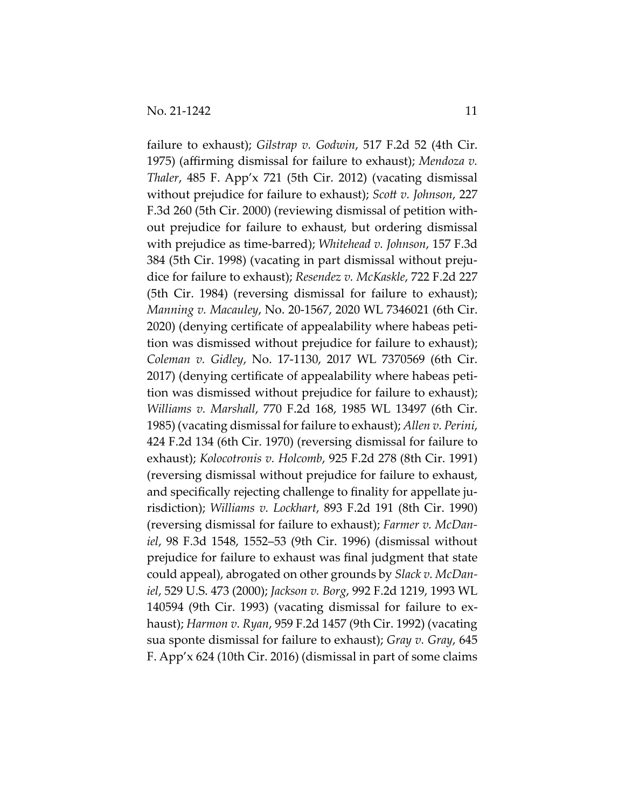failure to exhaust); *Gilstrap v. Godwin*, 517 F.2d 52 (4th Cir. 1975) (affirming dismissal for failure to exhaust); *Mendoza v. Thaler*, 485 F. App'x 721 (5th Cir. 2012) (vacating dismissal without prejudice for failure to exhaust); *Scott v. Johnson*, 227 F.3d 260 (5th Cir. 2000) (reviewing dismissal of petition without prejudice for failure to exhaust, but ordering dismissal with prejudice as time-barred); *Whitehead v. Johnson*, 157 F.3d 384 (5th Cir. 1998) (vacating in part dismissal without prejudice for failure to exhaust); *Resendez v. McKaskle*, 722 F.2d 227 (5th Cir. 1984) (reversing dismissal for failure to exhaust); *Manning v. Macauley*, No. 20-1567, 2020 WL 7346021 (6th Cir. 2020) (denying certificate of appealability where habeas petition was dismissed without prejudice for failure to exhaust); *Coleman v. Gidley*, No. 17-1130, 2017 WL 7370569 (6th Cir. 2017) (denying certificate of appealability where habeas petition was dismissed without prejudice for failure to exhaust); *Williams v. Marshall*, 770 F.2d 168, 1985 WL 13497 (6th Cir. 1985) (vacating dismissal for failure to exhaust); *Allen v. Perini*, 424 F.2d 134 (6th Cir. 1970) (reversing dismissal for failure to exhaust); *Kolocotronis v. Holcomb*, 925 F.2d 278 (8th Cir. 1991) (reversing dismissal without prejudice for failure to exhaust, and specifically rejecting challenge to finality for appellate jurisdiction); *Williams v. Lockhart*, 893 F.2d 191 (8th Cir. 1990) (reversing dismissal for failure to exhaust); *Farmer v. McDaniel*, 98 F.3d 1548, 1552–53 (9th Cir. 1996) (dismissal without prejudice for failure to exhaust was final judgment that state could appeal), abrogated on other grounds by *Slack v. McDaniel*, 529 U.S. 473 (2000); *Jackson v. Borg*, 992 F.2d 1219, 1993 WL 140594 (9th Cir. 1993) (vacating dismissal for failure to exhaust); *Harmon v. Ryan*, 959 F.2d 1457 (9th Cir. 1992) (vacating sua sponte dismissal for failure to exhaust); *Gray v. Gray*, 645 F. App'x 624 (10th Cir. 2016) (dismissal in part of some claims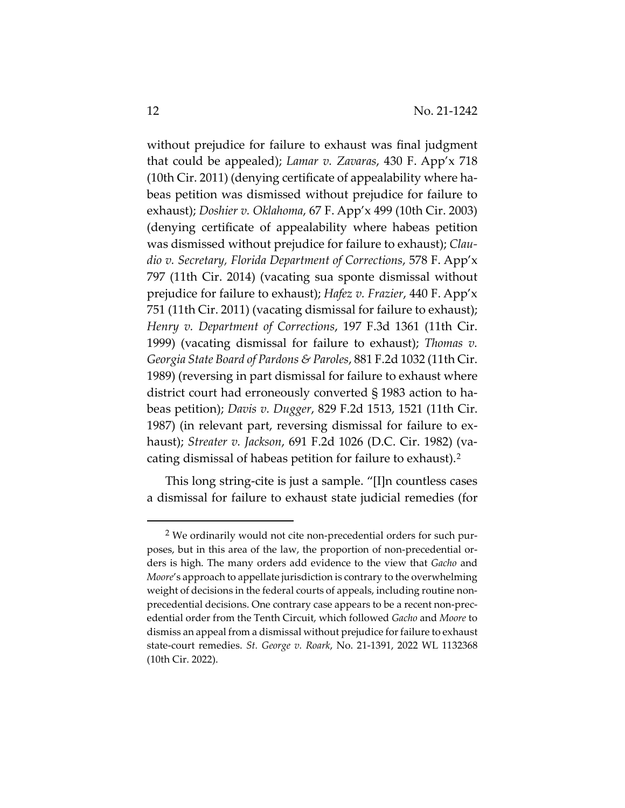without prejudice for failure to exhaust was final judgment that could be appealed); *Lamar v. Zavaras*, 430 F. App'x 718 (10th Cir. 2011) (denying certificate of appealability where habeas petition was dismissed without prejudice for failure to exhaust); *Doshier v. Oklahoma*, 67 F. App'x 499 (10th Cir. 2003) (denying certificate of appealability where habeas petition was dismissed without prejudice for failure to exhaust); *Claudio v. Secretary, Florida Department of Corrections*, 578 F. App'x 797 (11th Cir. 2014) (vacating sua sponte dismissal without prejudice for failure to exhaust); *Hafez v. Frazier*, 440 F. App'x 751 (11th Cir. 2011) (vacating dismissal for failure to exhaust); *Henry v. Department of Corrections*, 197 F.3d 1361 (11th Cir. 1999) (vacating dismissal for failure to exhaust); *Thomas v. Georgia State Board of Pardons & Paroles*, 881 F.2d 1032 (11th Cir. 1989) (reversing in part dismissal for failure to exhaust where district court had erroneously converted § 1983 action to habeas petition); *Davis v. Dugger*, 829 F.2d 1513, 1521 (11th Cir. 1987) (in relevant part, reversing dismissal for failure to exhaust); *Streater v. Jackson*, 691 F.2d 1026 (D.C. Cir. 1982) (vacating dismissal of habeas petition for failure to exhaust).[2](#page-11-0)

This long string-cite is just a sample. "[I]n countless cases a dismissal for failure to exhaust state judicial remedies (for

<span id="page-11-0"></span><sup>2</sup> We ordinarily would not cite non-precedential orders for such purposes, but in this area of the law, the proportion of non-precedential orders is high. The many orders add evidence to the view that *Gacho* and *Moore*'s approach to appellate jurisdiction is contrary to the overwhelming weight of decisions in the federal courts of appeals, including routine nonprecedential decisions. One contrary case appears to be a recent non-precedential order from the Tenth Circuit, which followed *Gacho* and *Moore* to dismiss an appeal from a dismissal without prejudice for failure to exhaust state-court remedies. *St. George v. Roark*, No. 21-1391, 2022 WL 1132368 (10th Cir. 2022).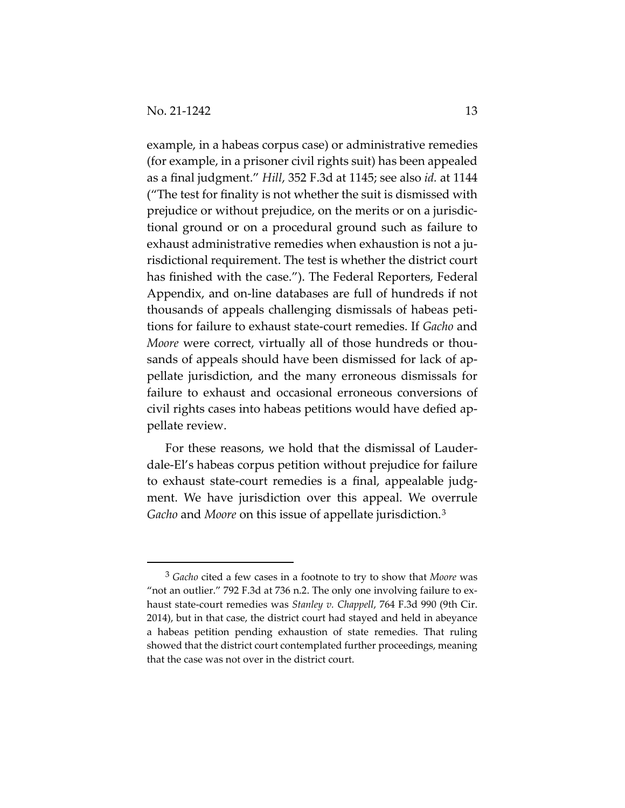example, in a habeas corpus case) or administrative remedies (for example, in a prisoner civil rights suit) has been appealed as a final judgment." *Hill*, 352 F.3d at 1145; see also *id.* at 1144 ("The test for finality is not whether the suit is dismissed with prejudice or without prejudice, on the merits or on a jurisdictional ground or on a procedural ground such as failure to exhaust administrative remedies when exhaustion is not a jurisdictional requirement. The test is whether the district court has finished with the case."). The Federal Reporters, Federal Appendix, and on-line databases are full of hundreds if not thousands of appeals challenging dismissals of habeas petitions for failure to exhaust state-court remedies. If *Gacho* and *Moore* were correct, virtually all of those hundreds or thousands of appeals should have been dismissed for lack of appellate jurisdiction, and the many erroneous dismissals for failure to exhaust and occasional erroneous conversions of civil rights cases into habeas petitions would have defied appellate review.

For these reasons, we hold that the dismissal of Lauderdale-El's habeas corpus petition without prejudice for failure to exhaust state-court remedies is a final, appealable judgment. We have jurisdiction over this appeal. We overrule *Gacho* and *Moore* on this issue of appellate jurisdiction.[3](#page-12-0)

<span id="page-12-0"></span><sup>3</sup> *Gacho* cited a few cases in a footnote to try to show that *Moore* was "not an outlier." 792 F.3d at 736 n.2. The only one involving failure to exhaust state-court remedies was *Stanley v. Chappell*, 764 F.3d 990 (9th Cir. 2014), but in that case, the district court had stayed and held in abeyance a habeas petition pending exhaustion of state remedies. That ruling showed that the district court contemplated further proceedings, meaning that the case was not over in the district court.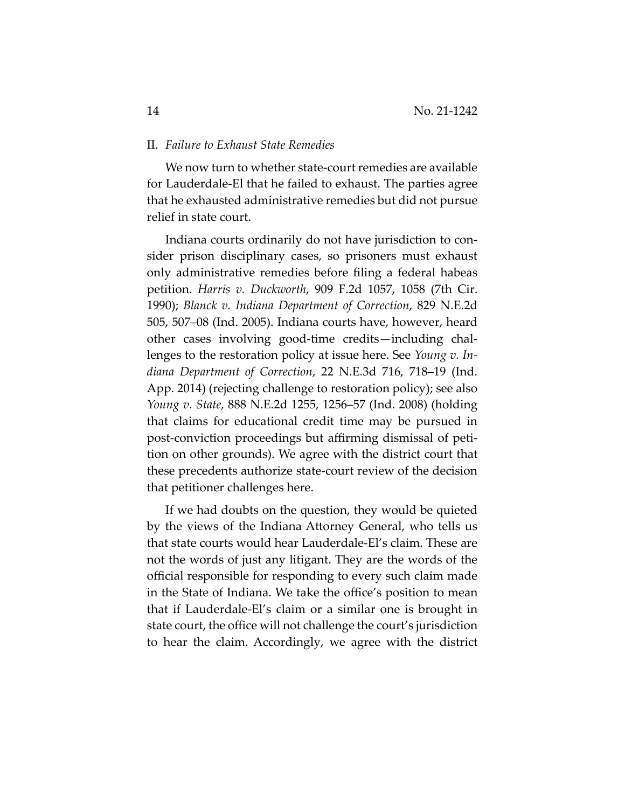#### II. *Failure to Exhaust State Remedies*

We now turn to whether state-court remedies are available for Lauderdale-El that he failed to exhaust. The parties agree that he exhausted administrative remedies but did not pursue relief in state court.

Indiana courts ordinarily do not have jurisdiction to consider prison disciplinary cases, so prisoners must exhaust only administrative remedies before filing a federal habeas petition. *Harris v. Duckworth*, 909 F.2d 1057, 1058 (7th Cir. 1990); *Blanck v. Indiana Department of Correction*, 829 N.E.2d 505, 507–08 (Ind. 2005). Indiana courts have, however, heard other cases involving good-time credits—including challenges to the restoration policy at issue here. See *Young v. Indiana Department of Correction*, 22 N.E.3d 716, 718–19 (Ind. App. 2014) (rejecting challenge to restoration policy); see also *Young v. State*, 888 N.E.2d 1255, 1256–57 (Ind. 2008) (holding that claims for educational credit time may be pursued in post-conviction proceedings but affirming dismissal of petition on other grounds). We agree with the district court that these precedents authorize state-court review of the decision that petitioner challenges here.

If we had doubts on the question, they would be quieted by the views of the Indiana Attorney General, who tells us that state courts would hear Lauderdale-El's claim. These are not the words of just any litigant. They are the words of the official responsible for responding to every such claim made in the State of Indiana. We take the office's position to mean that if Lauderdale-El's claim or a similar one is brought in state court, the office will not challenge the court's jurisdiction to hear the claim. Accordingly, we agree with the district